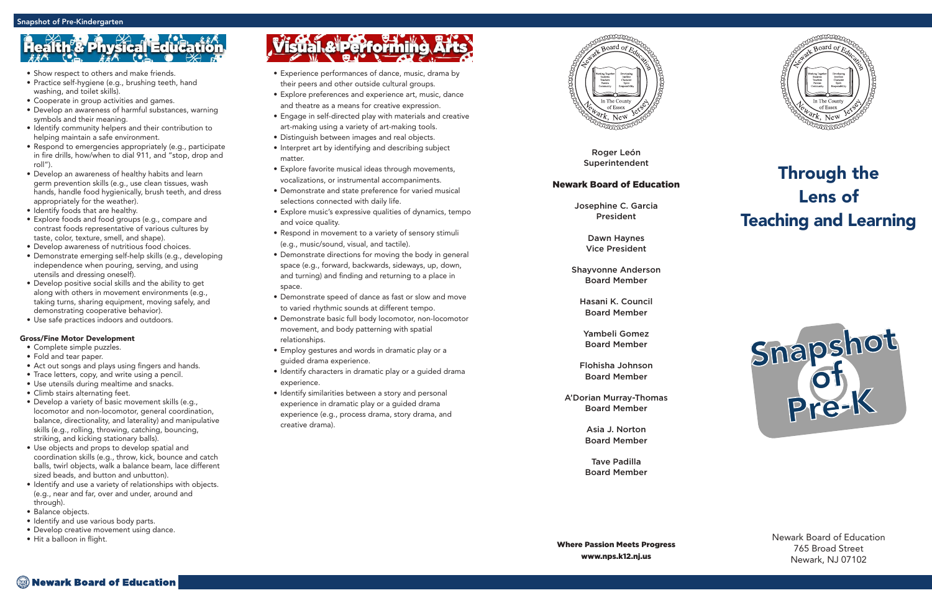Roger León Superintendent

### Newark Board of Education

Josephine C. Garcia President

> Dawn Haynes Vice President

Shayvonne Anderson Board Member

Hasani K. Council Board Member

Yambeli Gomez Board Member

Flohisha Johnson Board Member

A'Dorian Murray-Thomas Board Member

> Asia J. Norton Board Member

> Tave Padilla Board Member



## Through the Lens of Teaching and Learning

Newark Board of Education 765 Broad Street Newark, NJ 07102

- Experience performances of dance, music, drama by their peers and other outside cultural groups.
- Explore preferences and experience art, music, dance and theatre as a means for creative expression.
- Engage in self-directed play with materials and creative art-making using a variety of art-making tools.
- Distinguish between images and real objects.
- Interpret art by identifying and describing subject matter.
- Explore favorite musical ideas through movements, vocalizations, or instrumental accompaniments.
- Demonstrate and state preference for varied musical selections connected with daily life.
- Explore music's expressive qualities of dynamics, tempo and voice quality.
- Respond in movement to a variety of sensory stimuli (e.g., music/sound, visual, and tactile).
- Demonstrate directions for moving the body in general space (e.g., forward, backwards, sideways, up, down, and turning) and finding and returning to a place in space.
- Demonstrate speed of dance as fast or slow and move to varied rhythmic sounds at different tempo.
- Demonstrate basic full body locomotor, non-locomotor movement, and body patterning with spatial relationships.
- Employ gestures and words in dramatic play or a guided drama experience.
- Identify characters in dramatic play or a guided drama experience.
- Identify similarities between a story and personal experience in dramatic play or a guided drama experience (e.g., process drama, story drama, and creative drama).



- Show respect to others and make friends.
- Practice self-hygiene (e.g., brushing teeth, hand washing, and toilet skills).
- Cooperate in group activities and games.
- Develop an awareness of harmful substances, warning symbols and their meaning.
- Identify community helpers and their contribution to helping maintain a safe environment.
- Respond to emergencies appropriately (e.g., participate in fire drills, how/when to dial 911, and "stop, drop and roll").
- Develop an awareness of healthy habits and learn germ prevention skills (e.g., use clean tissues, wash hands, handle food hygienically, brush teeth, and dress appropriately for the weather).
- Identify foods that are healthy.
- Explore foods and food groups (e.g., compare and contrast foods representative of various cultures by taste, color, texture, smell, and shape).
- Develop awareness of nutritious food choices.
- Demonstrate emerging self-help skills (e.g., developing independence when pouring, serving, and using utensils and dressing oneself).
- Develop positive social skills and the ability to get along with others in movement environments (e.g., taking turns, sharing equipment, moving safely, and demonstrating cooperative behavior).
- Use safe practices indoors and outdoors.

### Gross/Fine Motor Development

- Complete simple puzzles.
- Fold and tear paper.
- Act out songs and plays using fingers and hands.
- Trace letters, copy, and write using a pencil.
- Use utensils during mealtime and snacks.
- Climb stairs alternating feet.
- Develop a variety of basic movement skills (e.g., locomotor and non-locomotor, general coordination, balance, directionality, and laterality) and manipulative skills (e.g., rolling, throwing, catching, bouncing, striking, and kicking stationary balls).
- Use objects and props to develop spatial and coordination skills (e.g., throw, kick, bounce and catch balls, twirl objects, walk a balance beam, lace different sized beads, and button and unbutton).
- Identify and use a variety of relationships with objects. (e.g., near and far, over and under, around and through).
- Balance objects.
- Identify and use various body parts.
- Develop creative movement using dance. Hit a balloon in flight.
- 

# Visual & Performing